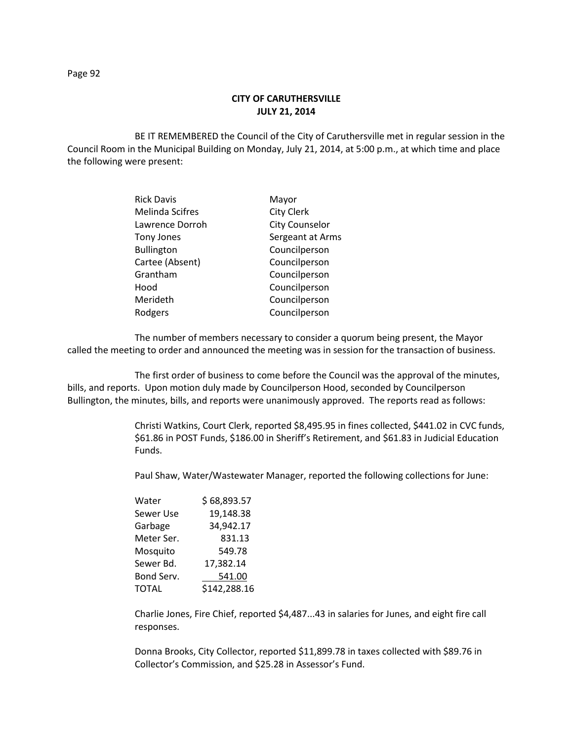Page 92

## **CITY OF CARUTHERSVILLE JULY 21, 2014**

BE IT REMEMBERED the Council of the City of Caruthersville met in regular session in the Council Room in the Municipal Building on Monday, July 21, 2014, at 5:00 p.m., at which time and place the following were present:

| <b>Rick Davis</b>      | Mayor                 |
|------------------------|-----------------------|
| <b>Melinda Scifres</b> | <b>City Clerk</b>     |
| Lawrence Dorroh        | <b>City Counselor</b> |
| <b>Tony Jones</b>      | Sergeant at Arms      |
| <b>Bullington</b>      | Councilperson         |
| Cartee (Absent)        | Councilperson         |
| Grantham               | Councilperson         |
| Hood                   | Councilperson         |
| Merideth               | Councilperson         |
| Rodgers                | Councilperson         |

The number of members necessary to consider a quorum being present, the Mayor called the meeting to order and announced the meeting was in session for the transaction of business.

The first order of business to come before the Council was the approval of the minutes, bills, and reports. Upon motion duly made by Councilperson Hood, seconded by Councilperson Bullington, the minutes, bills, and reports were unanimously approved. The reports read as follows:

> Christi Watkins, Court Clerk, reported \$8,495.95 in fines collected, \$441.02 in CVC funds, \$61.86 in POST Funds, \$186.00 in Sheriff's Retirement, and \$61.83 in Judicial Education Funds.

Paul Shaw, Water/Wastewater Manager, reported the following collections for June:

| Water      | \$68,893.57  |  |  |
|------------|--------------|--|--|
| Sewer Use  | 19,148.38    |  |  |
| Garbage    | 34,942.17    |  |  |
| Meter Ser. | 831.13       |  |  |
| Mosquito   | 549.78       |  |  |
| Sewer Bd.  | 17,382.14    |  |  |
| Bond Serv. | 541.00       |  |  |
| TOTAL      | \$142,288.16 |  |  |
|            |              |  |  |

Charlie Jones, Fire Chief, reported \$4,487...43 in salaries for Junes, and eight fire call responses.

Donna Brooks, City Collector, reported \$11,899.78 in taxes collected with \$89.76 in Collector's Commission, and \$25.28 in Assessor's Fund.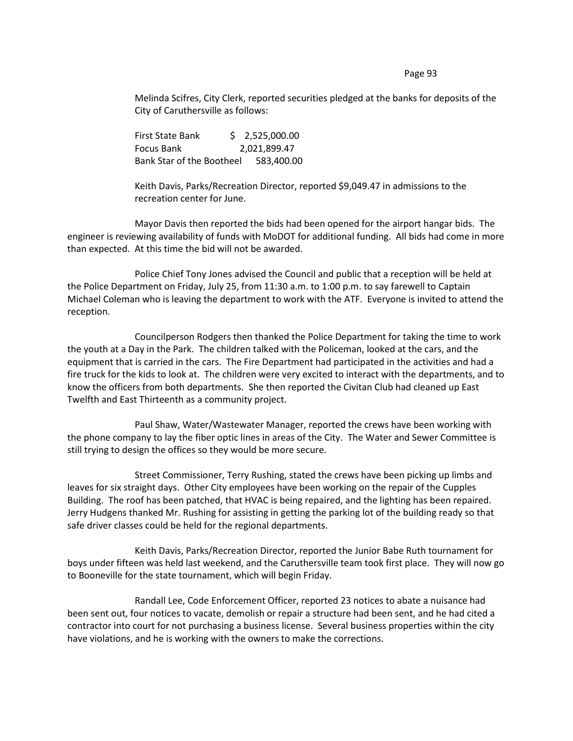Page 93

Melinda Scifres, City Clerk, reported securities pledged at the banks for deposits of the City of Caruthersville as follows:

First State Bank \$ 2,525,000.00 Focus Bank 2,021,899.47 Bank Star of the Bootheel 583,400.00

Keith Davis, Parks/Recreation Director, reported \$9,049.47 in admissions to the recreation center for June.

Mayor Davis then reported the bids had been opened for the airport hangar bids. The engineer is reviewing availability of funds with MoDOT for additional funding. All bids had come in more than expected. At this time the bid will not be awarded.

Police Chief Tony Jones advised the Council and public that a reception will be held at the Police Department on Friday, July 25, from 11:30 a.m. to 1:00 p.m. to say farewell to Captain Michael Coleman who is leaving the department to work with the ATF. Everyone is invited to attend the reception.

Councilperson Rodgers then thanked the Police Department for taking the time to work the youth at a Day in the Park. The children talked with the Policeman, looked at the cars, and the equipment that is carried in the cars. The Fire Department had participated in the activities and had a fire truck for the kids to look at. The children were very excited to interact with the departments, and to know the officers from both departments. She then reported the Civitan Club had cleaned up East Twelfth and East Thirteenth as a community project.

Paul Shaw, Water/Wastewater Manager, reported the crews have been working with the phone company to lay the fiber optic lines in areas of the City. The Water and Sewer Committee is still trying to design the offices so they would be more secure.

Street Commissioner, Terry Rushing, stated the crews have been picking up limbs and leaves for six straight days. Other City employees have been working on the repair of the Cupples Building. The roof has been patched, that HVAC is being repaired, and the lighting has been repaired. Jerry Hudgens thanked Mr. Rushing for assisting in getting the parking lot of the building ready so that safe driver classes could be held for the regional departments.

Keith Davis, Parks/Recreation Director, reported the Junior Babe Ruth tournament for boys under fifteen was held last weekend, and the Caruthersville team took first place. They will now go to Booneville for the state tournament, which will begin Friday.

Randall Lee, Code Enforcement Officer, reported 23 notices to abate a nuisance had been sent out, four notices to vacate, demolish or repair a structure had been sent, and he had cited a contractor into court for not purchasing a business license. Several business properties within the city have violations, and he is working with the owners to make the corrections.